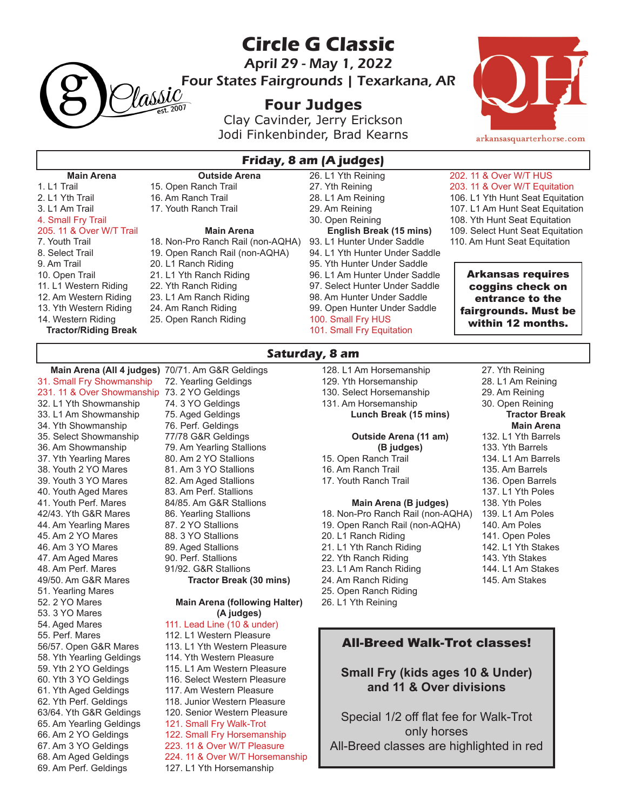

**Circle G Classic**

April 29 - May 1, 2022

Four States Fairgrounds | Texarkana, AR

# **Four Judges**

Clay Cavinder, Jerry Erickson Jodi Finkenbinder, Brad Kearns



#### **Main Arena** 1. L1 Trail 2. L1 Yth Trail 3. L1 Am Trail 4. Small Fry Trail 205. 11 & Over W/T Trail 7. Youth Trail 8. Select Trail 9. Am Trail 10. Open Trail 11. L1 Western Riding 12. Am Western Riding 13. Yth Western Riding 14. Western Riding **Tractor/Riding Break Outside Arena** 15. Open Ranch Trail 16. Am Ranch Trail 17. Youth Ranch Trail **Main Arena** 18. Non-Pro Ranch Rail (non-AQHA) 19. Open Ranch Rail (non-AQHA) 20. L1 Ranch Riding 21. L1 Yth Ranch Riding 22. Yth Ranch Riding 23. L1 Am Ranch Riding 24. Am Ranch Riding 25. Open Ranch Riding 26. L1 Yth Reining 27. Yth Reining 28. L1 Am Reining 29. Am Reining 30. Open Reining **English Break (15 mins)** 93. L1 Hunter Under Saddle 94. L1 Yth Hunter Under Saddle 95. Yth Hunter Under Saddle 96. L1 Am Hunter Under Saddle 97. Select Hunter Under Saddle 98. Am Hunter Under Saddle 99. Open Hunter Under Saddle 100. Small Fry HUS 101. Small Fry Equitation 202. 11 & Over W/T HUS 203. 11 & Over W/T Equitation 106. L1 Yth Hunt Seat Equitation 107. L1 Am Hunt Seat Equitation 108. Yth Hunt Seat Equitation 109. Select Hunt Seat Equitation 110. Am Hunt Seat Equitation Arkansas requires coggins check on entrance to the fairgrounds. Must be within 12 months.

## **Saturday, 8 am**

**Main Arena (All 4 judges)** 70/71. Am G&R Geldings 31. Small Fry Showmanship 231. 11 & Over Showmanship 73. 2 YO Geldings 32. L1 Yth Showmanship 33. L1 Am Showmanship 34. Yth Showmanship 35. Select Showmanship 36. Am Showmanship 37. Yth Yearling Mares 38. Youth 2 YO Mares 39. Youth 3 YO Mares 40. Youth Aged Mares 41. Youth Perf. Mares 42/43. Yth G&R Mares 44. Am Yearling Mares 45. Am 2 YO Mares 46. Am 3 YO Mares 47. Am Aged Mares 48. Am Perf. Mares 49/50. Am G&R Mares 51. Yearling Mares 52. 2 YO Mares 53. 3 YO Mares 54. Aged Mares 55. Perf. Mares 56/57. Open G&R Mares 58. Yth Yearling Geldings 59. Yth 2 YO Geldings 60. Yth 3 YO Geldings 61. Yth Aged Geldings 62. Yth Perf. Geldings 63/64. Yth G&R Geldings 65. Am Yearling Geldings 66. Am 2 YO Geldings 67. Am 3 YO Geldings 68. Am Aged Geldings 69. Am Perf. Geldings

72. Yearling Geldings 74. 3 YO Geldings 75. Aged Geldings 76. Perf. Geldings 77/78 G&R Geldings 79. Am Yearling Stallions 80. Am 2 YO Stallions 81. Am 3 YO Stallions 82. Am Aged Stallions 83. Am Perf. Stallions 84/85. Am G&R Stallions 86. Yearling Stallions 87. 2 YO Stallions 88. 3 YO Stallions 89. Aged Stallions 90. Perf. Stallions 91/92. G&R Stallions **Tractor Break (30 mins) Main Arena (following Halter) (A judges)** 111. Lead Line (10 & under) 112. L1 Western Pleasure 113. L1 Yth Western Pleasure 114. Yth Western Pleasure 115. L1 Am Western Pleasure 116. Select Western Pleasure 117. Am Western Pleasure 118. Junior Western Pleasure 120. Senior Western Pleasure

- 121. Small Fry Walk-Trot 122. Small Fry Horsemanship
- 223. 11 & Over W/T Pleasure
- 224. 11 & Over W/T Horsemanship
- 127. L1 Yth Horsemanship
- 128. L1 Am Horsemanship 129. Yth Horsemanship
- 130. Select Horsemanship
- 

### 131. Am Horsemanship **Lunch Break (15 mins)**

## **Outside Arena (11 am) (B judges)**

- 15. Open Ranch Trail
- 16. Am Ranch Trail
- 17. Youth Ranch Trail

#### **Main Arena (B judges)**

18. Non-Pro Ranch Rail (non-AQHA) 19. Open Ranch Rail (non-AQHA) 20. L1 Ranch Riding 21. L1 Yth Ranch Riding 22. Yth Ranch Riding 23. L1 Am Ranch Riding 24. Am Ranch Riding 25. Open Ranch Riding 26. L1 Yth Reining

- 27. Yth Reining 28. L1 Am Reining
- 29. Am Reining
- 30. Open Reining
- **Tractor Break Main Arena**
- 132. L1 Yth Barrels
- 133. Yth Barrels
- 134. L1 Am Barrels
- 135. Am Barrels
- 136. Open Barrels
- 137. L1 Yth Poles
- 138. Yth Poles
- 139. L1 Am Poles
- 140. Am Poles
- 141. Open Poles
- 142. L1 Yth Stakes
- 143. Yth Stakes
- 144. L1 Am Stakes
- 145. Am Stakes

## All-Breed Walk-Trot classes!

**Small Fry (kids ages 10 & Under) and 11 & Over divisions**

Special 1/2 off flat fee for Walk-Trot only horses All-Breed classes are highlighted in red

**Friday, 8 am (A judges)**